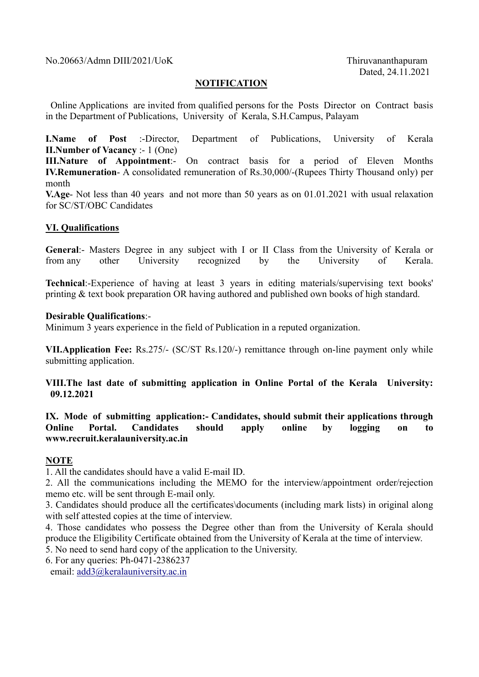No.20663/Admn DIII/2021/UoK Thiruvananthapuram

# **NOTIFICATION**

 Online Applications are invited from qualified persons for the Posts Director on Contract basis in the Department of Publications, University of Kerala, S.H.Campus, Palayam

I.Name of Post :-Director, Department of Publications, University of Kerala II.Number of Vacancy :- 1 (One)

III.Nature of Appointment:- On contract basis for a period of Eleven Months IV.Remuneration- A consolidated remuneration of Rs.30,000/-(Rupees Thirty Thousand only) per month

V.Age- Not less than 40 years and not more than 50 years as on 01.01.2021 with usual relaxation for SC/ST/OBC Candidates

### VI. Qualifications

General:- Masters Degree in any subject with I or II Class from the University of Kerala or from any other University recognized by the University of Kerala.

Technical:-Experience of having at least 3 years in editing materials/supervising text books' printing & text book preparation OR having authored and published own books of high standard.

#### Desirable Qualifications:-

Minimum 3 years experience in the field of Publication in a reputed organization.

VII.Application Fee: Rs.275/- (SC/ST Rs.120/-) remittance through on-line payment only while submitting application.

VIII.The last date of submitting application in Online Portal of the Kerala University: 09.12.2021

## IX. Mode of submitting application:- Candidates, should submit their applications through Online Portal. Candidates should apply online by logging on to www.recruit.keralauniversity.ac.in

#### **NOTE**

1. All the candidates should have a valid E-mail ID.

2. All the communications including the MEMO for the interview/appointment order/rejection memo etc. will be sent through E-mail only.

3. Candidates should produce all the certificates\documents (including mark lists) in original along with self attested copies at the time of interview.

4. Those candidates who possess the Degree other than from the University of Kerala should produce the Eligibility Certificate obtained from the University of Kerala at the time of interview.

5. No need to send hard copy of the application to the University.

6. For any queries: Ph-0471-2386237

email: add3@keralauniversity.ac.in